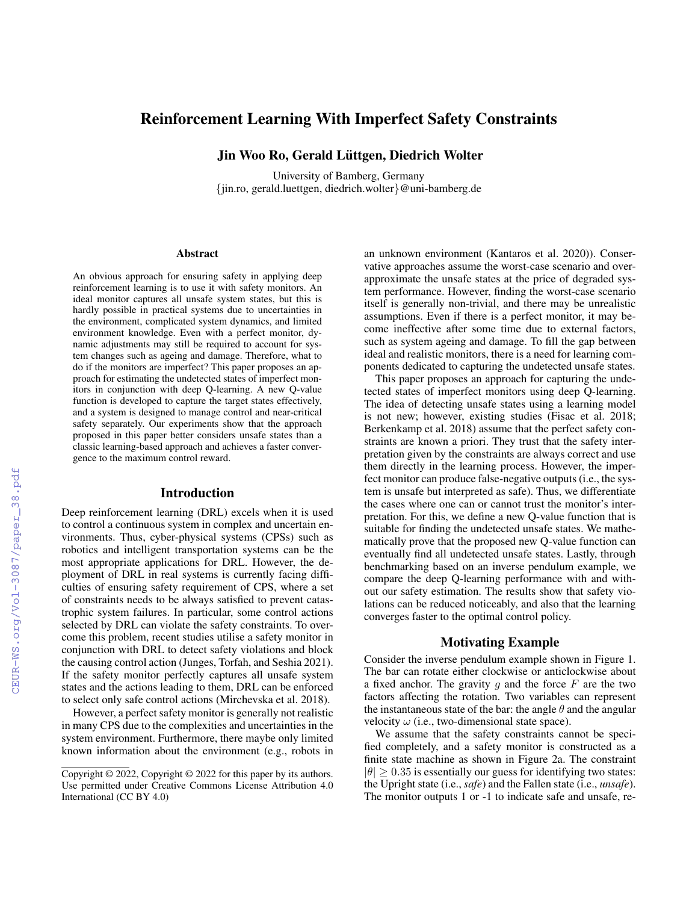# Reinforcement Learning With Imperfect Safety Constraints

Jin Woo Ro, Gerald Lüttgen, Diedrich Wolter

University of Bamberg, Germany {jin.ro, gerald.luettgen, diedrich.wolter}@uni-bamberg.de

#### **Abstract**

An obvious approach for ensuring safety in applying deep reinforcement learning is to use it with safety monitors. An ideal monitor captures all unsafe system states, but this is hardly possible in practical systems due to uncertainties in the environment, complicated system dynamics, and limited environment knowledge. Even with a perfect monitor, dynamic adjustments may still be required to account for system changes such as ageing and damage. Therefore, what to do if the monitors are imperfect? This paper proposes an approach for estimating the undetected states of imperfect monitors in conjunction with deep Q-learning. A new Q-value function is developed to capture the target states effectively, and a system is designed to manage control and near-critical safety separately. Our experiments show that the approach proposed in this paper better considers unsafe states than a classic learning-based approach and achieves a faster convergence to the maximum control reward.

#### Introduction

Deep reinforcement learning (DRL) excels when it is used to control a continuous system in complex and uncertain environments. Thus, cyber-physical systems (CPSs) such as robotics and intelligent transportation systems can be the most appropriate applications for DRL. However, the deployment of DRL in real systems is currently facing difficulties of ensuring safety requirement of CPS, where a set of constraints needs to be always satisfied to prevent catastrophic system failures. In particular, some control actions selected by DRL can violate the safety constraints. To overcome this problem, recent studies utilise a safety monitor in conjunction with DRL to detect safety violations and block the causing control action (Junges, Torfah, and Seshia 2021). If the safety monitor perfectly captures all unsafe system states and the actions leading to them, DRL can be enforced to select only safe control actions (Mirchevska et al. 2018).

However, a perfect safety monitor is generally not realistic in many CPS due to the complexities and uncertainties in the system environment. Furthermore, there maybe only limited known information about the environment (e.g., robots in

an unknown environment (Kantaros et al. 2020)). Conservative approaches assume the worst-case scenario and overapproximate the unsafe states at the price of degraded system performance. However, finding the worst-case scenario itself is generally non-trivial, and there may be unrealistic assumptions. Even if there is a perfect monitor, it may become ineffective after some time due to external factors, such as system ageing and damage. To fill the gap between ideal and realistic monitors, there is a need for learning components dedicated to capturing the undetected unsafe states.

This paper proposes an approach for capturing the undetected states of imperfect monitors using deep Q-learning. The idea of detecting unsafe states using a learning model is not new; however, existing studies (Fisac et al. 2018; Berkenkamp et al. 2018) assume that the perfect safety constraints are known a priori. They trust that the safety interpretation given by the constraints are always correct and use them directly in the learning process. However, the imperfect monitor can produce false-negative outputs (i.e., the system is unsafe but interpreted as safe). Thus, we differentiate the cases where one can or cannot trust the monitor's interpretation. For this, we define a new Q-value function that is suitable for finding the undetected unsafe states. We mathematically prove that the proposed new Q-value function can eventually find all undetected unsafe states. Lastly, through benchmarking based on an inverse pendulum example, we compare the deep Q-learning performance with and without our safety estimation. The results show that safety violations can be reduced noticeably, and also that the learning converges faster to the optimal control policy.

## Motivating Example

Consider the inverse pendulum example shown in Figure 1. The bar can rotate either clockwise or anticlockwise about a fixed anchor. The gravity  $g$  and the force  $F$  are the two factors affecting the rotation. Two variables can represent the instantaneous state of the bar: the angle  $\theta$  and the angular velocity  $\omega$  (i.e., two-dimensional state space).

We assume that the safety constraints cannot be specified completely, and a safety monitor is constructed as a finite state machine as shown in Figure 2a. The constraint  $|\theta| \geq 0.35$  is essentially our guess for identifying two states: the Upright state (i.e., *safe*) and the Fallen state (i.e., *unsafe*). The monitor outputs 1 or -1 to indicate safe and unsafe, re-

Copyright © 2022, Copyright © 2022 for this paper by its authors. Use permitted under Creative Commons License Attribution 4.0 International (CC BY 4.0)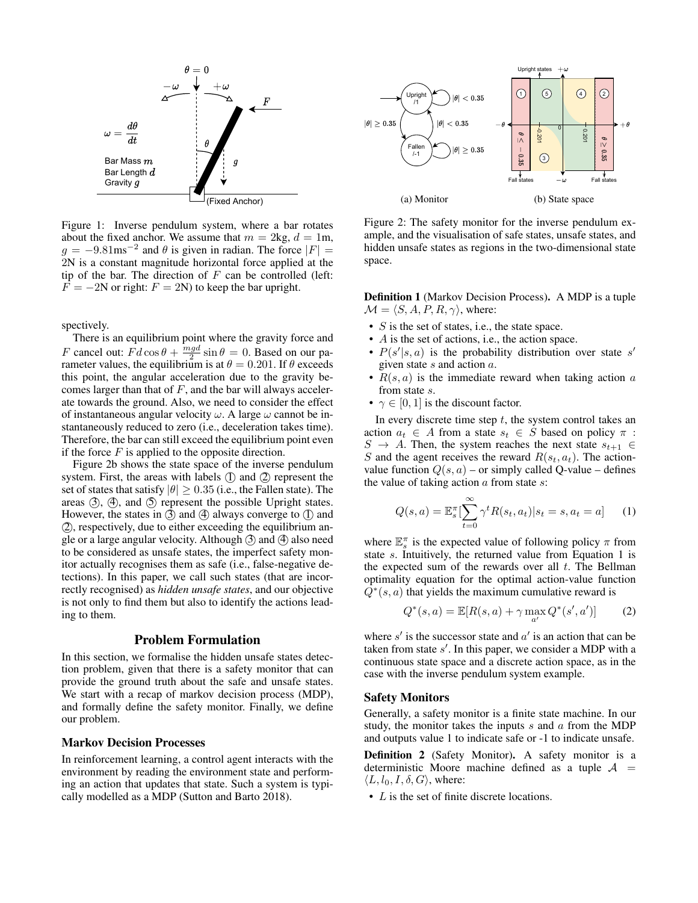

Figure 1: Inverse pendulum system, where a bar rotates about the fixed anchor. We assume that  $m = 2kg$ ,  $d = 1m$ ,  $g = -9.81$ ms<sup>-2</sup> and  $\theta$  is given in radian. The force  $|F| =$ 2N is a constant magnitude horizontal force applied at the tip of the bar. The direction of  $F$  can be controlled (left:  $F = -2N$  or right:  $F = 2N$ ) to keep the bar upright.

spectively.

There is an equilibrium point where the gravity force and F cancel out:  $Fd\cos\theta + \frac{mgd}{2}\sin\theta = 0$ . Based on our parameter values, the equilibrium is at  $\theta = 0.201$ . If  $\theta$  exceeds this point, the angular acceleration due to the gravity becomes larger than that of  $F$ , and the bar will always accelerate towards the ground. Also, we need to consider the effect of instantaneous angular velocity  $\omega$ . A large  $\omega$  cannot be instantaneously reduced to zero (i.e., deceleration takes time). Therefore, the bar can still exceed the equilibrium point even if the force  $F$  is applied to the opposite direction.

Figure 2b shows the state space of the inverse pendulum system. First, the areas with labels  $(I)$  and  $(I)$  represent the set of states that satisfy  $|\theta| \geq 0.35$  (i.e., the Fallen state). The areas  $(3)$ ,  $(4)$ , and  $(5)$  represent the possible Upright states. However, the states in  $(3)$  and  $(4)$  always converge to  $(1)$  and (2), respectively, due to either exceeding the equilibrium angle or a large angular velocity. Although  $\circled{3}$  and  $\circled{4}$  also need to be considered as unsafe states, the imperfect safety monitor actually recognises them as safe (i.e., false-negative detections). In this paper, we call such states (that are incorrectly recognised) as *hidden unsafe states*, and our objective is not only to find them but also to identify the actions leading to them.

## Problem Formulation

In this section, we formalise the hidden unsafe states detection problem, given that there is a safety monitor that can provide the ground truth about the safe and unsafe states. We start with a recap of markov decision process (MDP), and formally define the safety monitor. Finally, we define our problem.

#### Markov Decision Processes

In reinforcement learning, a control agent interacts with the environment by reading the environment state and performing an action that updates that state. Such a system is typically modelled as a MDP (Sutton and Barto 2018).



Figure 2: The safety monitor for the inverse pendulum example, and the visualisation of safe states, unsafe states, and hidden unsafe states as regions in the two-dimensional state space.

Definition 1 (Markov Decision Process). A MDP is a tuple  $\mathcal{M} = \langle S, A, P, R, \gamma \rangle$ , where:

- $S$  is the set of states, i.e., the state space.
- A is the set of actions, i.e., the action space.
- $P(s'|s, a)$  is the probability distribution over state s' given state  $s$  and action  $a$ .
- $R(s, a)$  is the immediate reward when taking action a from state s.
- $\gamma \in [0, 1]$  is the discount factor.

In every discrete time step  $t$ , the system control takes an action  $a_t \in A$  from a state  $s_t \in S$  based on policy  $\pi$ :  $S \rightarrow A$ . Then, the system reaches the next state  $s_{t+1} \in$ S and the agent receives the reward  $R(s_t, a_t)$ . The actionvalue function  $Q(s, a)$  – or simply called Q-value – defines the value of taking action  $a$  from state  $s$ :

$$
Q(s, a) = \mathbb{E}_s^{\pi} \left[ \sum_{t=0}^{\infty} \gamma^t R(s_t, a_t) | s_t = s, a_t = a \right]
$$
 (1)

where  $\mathbb{E}_s^{\pi}$  is the expected value of following policy  $\pi$  from state s. Intuitively, the returned value from Equation 1 is the expected sum of the rewards over all  $t$ . The Bellman optimality equation for the optimal action-value function  $\tilde{Q}^*(s, a)$  that yields the maximum cumulative reward is

$$
Q^*(s, a) = \mathbb{E}[R(s, a) + \gamma \max_{a'} Q^*(s', a')]
$$
 (2)

where  $s'$  is the successor state and  $a'$  is an action that can be taken from state  $s'$ . In this paper, we consider a MDP with a continuous state space and a discrete action space, as in the case with the inverse pendulum system example.

#### Safety Monitors

Generally, a safety monitor is a finite state machine. In our study, the monitor takes the inputs  $s$  and  $a$  from the MDP and outputs value 1 to indicate safe or -1 to indicate unsafe.

Definition 2 (Safety Monitor). A safety monitor is a deterministic Moore machine defined as a tuple  $A =$  $\langle L, l_0, I, \delta, G \rangle$ , where:

• L is the set of finite discrete locations.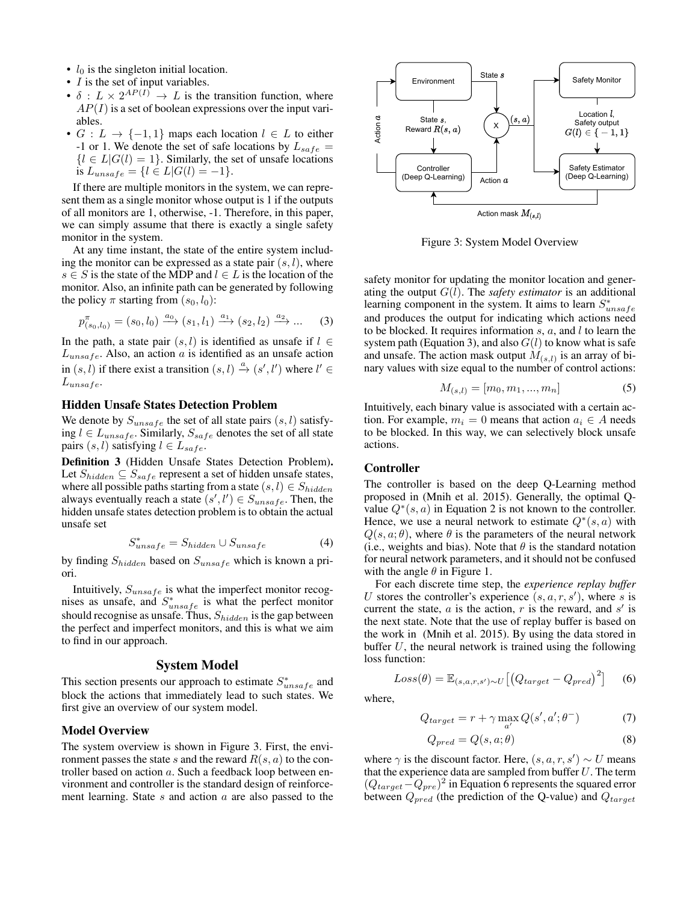- $l_0$  is the singleton initial location.
- *I* is the set of input variables.
- $\delta$  :  $L \times 2^{AP(I)} \rightarrow L$  is the transition function, where  $AP(I)$  is a set of boolean expressions over the input variables.
- $G: L \to \{-1, 1\}$  maps each location  $l \in L$  to either -1 or 1. We denote the set of safe locations by  $L_{safe} =$  ${l \in L | G(l) = 1}.$  Similarly, the set of unsafe locations is  $L_{unsafe} = \{l \in L | G(l) = -1\}.$

If there are multiple monitors in the system, we can represent them as a single monitor whose output is 1 if the outputs of all monitors are 1, otherwise, -1. Therefore, in this paper, we can simply assume that there is exactly a single safety monitor in the system.

At any time instant, the state of the entire system including the monitor can be expressed as a state pair  $(s, l)$ , where  $s \in S$  is the state of the MDP and  $l \in L$  is the location of the monitor. Also, an infinite path can be generated by following the policy  $\pi$  starting from  $(s_0, l_0)$ :

$$
p_{(s_0,l_0)}^{\pi} = (s_0, l_0) \xrightarrow{a_0} (s_1, l_1) \xrightarrow{a_1} (s_2, l_2) \xrightarrow{a_2} \dots \tag{3}
$$

In the path, a state pair  $(s, l)$  is identified as unsafe if  $l \in$  $L_{unsafe}$ . Also, an action a is identified as an unsafe action in  $(s, l)$  if there exist a transition  $(s, l) \stackrel{a}{\rightarrow} (s', l')$  where  $l' \in$  $L$ <sub>unsafe</sub>.

#### Hidden Unsafe States Detection Problem

We denote by  $S_{unsafe}$  the set of all state pairs  $(s, l)$  satisfying  $l \in L_{unsafe}.$  Similarly,  $S_{safe}$  denotes the set of all state pairs  $(s, l)$  satisfying  $l \in L_{safe}$ .

Definition 3 (Hidden Unsafe States Detection Problem). Let  $S_{hidden} \subseteq S_{safe}$  represent a set of hidden unsafe states, where all possible paths starting from a state  $(s, l) \in S_{hidden}$ always eventually reach a state  $(s', l') \in S_{unsafe}$ . Then, the hidden unsafe states detection problem is to obtain the actual unsafe set

$$
S_{unsafe}^* = S_{hidden} \cup S_{unsafe} \tag{4}
$$

by finding  $S_{hidden}$  based on  $S_{unsafe}$  which is known a priori.

Intuitively,  $S_{unsafe}$  is what the imperfect monitor recognises as unsafe, and  $S_{unsafe}^*$  is what the perfect monitor should recognise as unsafe. Thus,  $S_{hidden}$  is the gap between the perfect and imperfect monitors, and this is what we aim to find in our approach.

### System Model

This section presents our approach to estimate  $S_{unsafe}^*$  and block the actions that immediately lead to such states. We first give an overview of our system model.

### Model Overview

The system overview is shown in Figure 3. First, the environment passes the state s and the reward  $R(s, a)$  to the controller based on action a. Such a feedback loop between environment and controller is the standard design of reinforcement learning. State  $s$  and action  $a$  are also passed to the



Figure 3: System Model Overview

safety monitor for updating the monitor location and generating the output  $G(l)$ . The *safety estimator* is an additional learning component in the system. It aims to learn  $S_{unsaf}^*$ and produces the output for indicating which actions need to be blocked. It requires information  $s$ ,  $a$ , and  $l$  to learn the system path (Equation 3), and also  $G(l)$  to know what is safe and unsafe. The action mask output  $M_{(s,l)}$  is an array of binary values with size equal to the number of control actions:

$$
M_{(s,l)} = [m_0, m_1, ..., m_n]
$$
 (5)

Intuitively, each binary value is associated with a certain action. For example,  $m_i = 0$  means that action  $a_i \in A$  needs to be blocked. In this way, we can selectively block unsafe actions.

## Controller

where,

The controller is based on the deep Q-Learning method proposed in (Mnih et al. 2015). Generally, the optimal Qvalue  $Q^*(s, a)$  in Equation 2 is not known to the controller. Hence, we use a neural network to estimate  $Q^*(s, a)$  with  $Q(s, a; \theta)$ , where  $\theta$  is the parameters of the neural network (i.e., weights and bias). Note that  $\theta$  is the standard notation for neural network parameters, and it should not be confused with the angle  $\theta$  in Figure 1.

For each discrete time step, the *experience replay buffer* U stores the controller's experience  $(s, a, r, s')$ , where s is current the state,  $a$  is the action,  $r$  is the reward, and  $s'$  is the next state. Note that the use of replay buffer is based on the work in (Mnih et al. 2015). By using the data stored in buffer  $U$ , the neural network is trained using the following loss function:

 $Loss(\theta) = \mathbb{E}_{(s,a,r,s') \sim U} \big[ \big( Q_{target} - Q_{pred} \big)^2 \big]$ 

$$
Q_{target} = r + \gamma \max_{a'} Q(s', a'; \theta^{-})
$$
 (7)

$$
Q_{pred} = Q(s, a; \theta)
$$
\n(8)

(6)

where  $\gamma$  is the discount factor. Here,  $(s, a, r, s') \sim U$  means that the experience data are sampled from buffer  $U$ . The term  $(Q_{target}-Q_{pre})^2$  in Equation 6 represents the squared error between  $Q_{pred}$  (the prediction of the Q-value) and  $Q_{target}$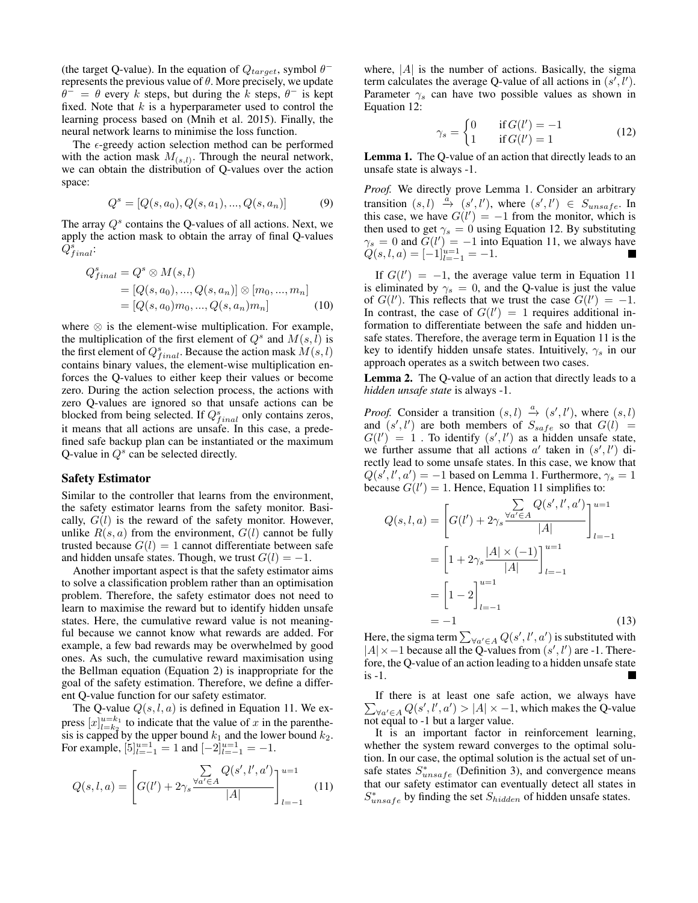(the target Q-value). In the equation of  $Q_{target}$ , symbol  $\theta^$ represents the previous value of  $\theta$ . More precisely, we update  $\theta^{-} = \theta$  every k steps, but during the k steps,  $\theta^{-}$  is kept fixed. Note that  $k$  is a hyperparameter used to control the learning process based on (Mnih et al. 2015). Finally, the neural network learns to minimise the loss function.

The  $\epsilon$ -greedy action selection method can be performed with the action mask  $M_{(s,l)}$ . Through the neural network, we can obtain the distribution of Q-values over the action space:

$$
Q^s = [Q(s, a_0), Q(s, a_1), ..., Q(s, a_n)]
$$
(9)

The array  $Q^s$  contains the Q-values of all actions. Next, we apply the action mask to obtain the array of final Q-values  $\tilde{Q^{s}_{final}}$ :

$$
Q_{final}^{s} = Q^{s} \otimes M(s, l)
$$
  
= [Q(s, a\_{0}), ..., Q(s, a\_{n})] \otimes [m\_{0}, ..., m\_{n}]  
= [Q(s, a\_{0})m\_{0}, ..., Q(s, a\_{n})m\_{n}] (10)

where ⊗ is the element-wise multiplication. For example, the multiplication of the first element of  $Q^s$  and  $M(s, \tilde{l})$  is the first element of  $Q_{final}^s$ . Because the action mask  $M(s, l)$ contains binary values, the element-wise multiplication enforces the Q-values to either keep their values or become zero. During the action selection process, the actions with zero Q-values are ignored so that unsafe actions can be blocked from being selected. If  $Q_{final}^s$  only contains zeros, it means that all actions are unsafe. In this case, a predefined safe backup plan can be instantiated or the maximum Q-value in  $Q^s$  can be selected directly.

#### Safety Estimator

Similar to the controller that learns from the environment, the safety estimator learns from the safety monitor. Basically,  $G(l)$  is the reward of the safety monitor. However, unlike  $R(s, a)$  from the environment,  $G(l)$  cannot be fully trusted because  $G(l) = 1$  cannot differentiate between safe and hidden unsafe states. Though, we trust  $G(l) = -1$ .

Another important aspect is that the safety estimator aims to solve a classification problem rather than an optimisation problem. Therefore, the safety estimator does not need to learn to maximise the reward but to identify hidden unsafe states. Here, the cumulative reward value is not meaningful because we cannot know what rewards are added. For example, a few bad rewards may be overwhelmed by good ones. As such, the cumulative reward maximisation using the Bellman equation (Equation 2) is inappropriate for the goal of the safety estimation. Therefore, we define a different Q-value function for our safety estimator.

The Q-value  $Q(s, l, a)$  is defined in Equation 11. We express  $[x]_{i=k_2}^{u=k_1}$  to indicate that the value of x in the parenthesis is capped by the upper bound  $k_1$  and the lower bound  $k_2$ . For example,  $[5]_{l=-1}^{u=1} = 1$  and  $[-2]_{l=-1}^{u=1} = -1$ .

$$
Q(s, l, a) = \left[ G(l') + 2\gamma_s \frac{\sum\limits_{\forall a' \in A} Q(s', l', a')}{|A|} \right]_{l=-1}^{u=1}
$$
 (11)

where,  $|A|$  is the number of actions. Basically, the sigma term calculates the average Q-value of all actions in  $(s', l')$ . Parameter  $\gamma_s$  can have two possible values as shown in Equation 12:

$$
\gamma_s = \begin{cases} 0 & \text{if } G(l') = -1 \\ 1 & \text{if } G(l') = 1 \end{cases} \tag{12}
$$

Lemma 1. The Q-value of an action that directly leads to an unsafe state is always -1.

*Proof.* We directly prove Lemma 1. Consider an arbitrary transition  $(s, l) \stackrel{a}{\rightarrow} (s', l')$ , where  $(s', l') \in S_{unsafe}$ . In this case, we have  $G(l') = -1$  from the monitor, which is then used to get  $\gamma_s = 0$  using Equation 12. By substituting  $\gamma_s = 0$  and  $\tilde{G}(l') = -1$  into Equation 11, we always have  $Q(s, l, a) = [-1]_{l=-1}^{u=1} = -1.$ 

If  $G(l') = -1$ , the average value term in Equation 11 is eliminated by  $\gamma_s = 0$ , and the Q-value is just the value of  $G(l')$ . This reflects that we trust the case  $G(l') = -1$ . In contrast, the case of  $G(l') = 1$  requires additional information to differentiate between the safe and hidden unsafe states. Therefore, the average term in Equation 11 is the key to identify hidden unsafe states. Intuitively,  $\gamma_s$  in our approach operates as a switch between two cases.

Lemma 2. The Q-value of an action that directly leads to a *hidden unsafe state* is always -1.

*Proof.* Consider a transition  $(s, l) \xrightarrow{a} (s', l')$ , where  $(s, l)$ and  $(s', l')$  are both members of  $S_{safe}$  so that  $G(l) =$  $G(l') = 1$ . To identify  $(s', l')$  as a hidden unsafe state, we further assume that all actions  $a'$  taken in  $(s', l')$  directly lead to some unsafe states. In this case, we know that  $Q(s', l', a') = -1$  based on Lemma 1. Furthermore,  $\gamma_s = 1$ because  $G(l') = 1$ . Hence, Equation 11 simplifies to:

$$
Q(s, l, a) = \left[ G(l') + 2\gamma_s \frac{\sum\limits_{\forall a' \in A} Q(s', l', a')}{|A|} \right]_{l=-1}^{u=1}
$$

$$
= \left[ 1 + 2\gamma_s \frac{|A| \times (-1)}{|A|} \right]_{l=-1}^{u=1}
$$

$$
= \left[ 1 - 2 \right]_{l=-1}^{u=1}
$$

$$
= -1
$$
(13)

Here, the sigma term  $\sum_{\forall a' \in A} Q(s', l', a')$  is substituted with  $|A| \times -1$  because all the Q-values from  $(s', l')$  are -1. Therefore, the Q-value of an action leading to a hidden unsafe state is -1. **In the Second State** 

 $\sum_{\forall a' \in A} Q(s', l', a') > |A| \times -1$ , which makes the Q-value If there is at least one safe action, we always have not equal to -1 but a larger value.

It is an important factor in reinforcement learning, whether the system reward converges to the optimal solution. In our case, the optimal solution is the actual set of unsafe states  $S_{unsafe}^*$  (Definition 3), and convergence means that our safety estimator can eventually detect all states in  $S_{unsafe}^*$  by finding the set  $S_{hidden}$  of hidden unsafe states.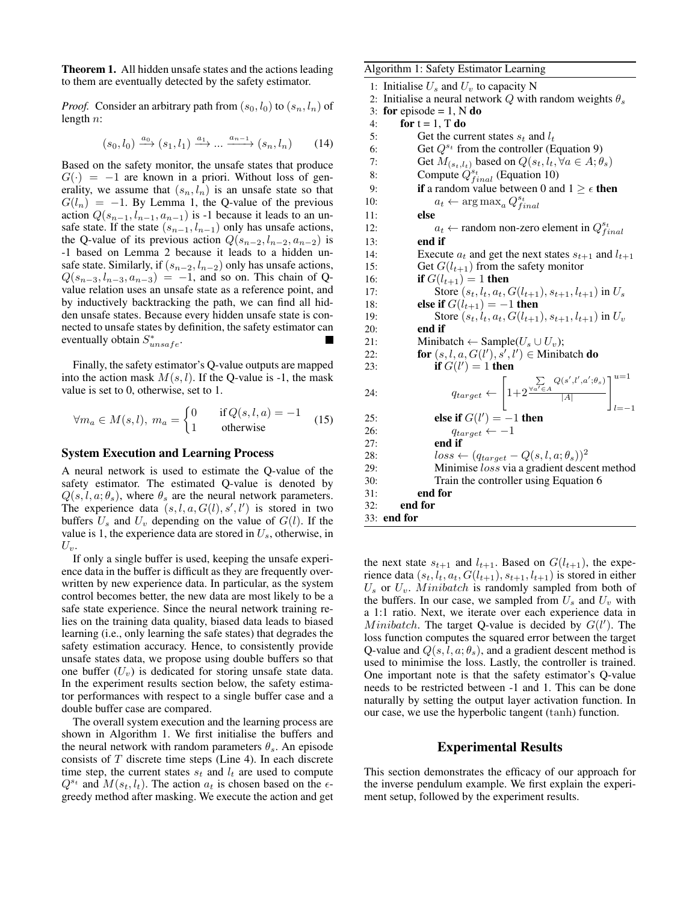Theorem 1. All hidden unsafe states and the actions leading to them are eventually detected by the safety estimator.

*Proof.* Consider an arbitrary path from  $(s_0, l_0)$  to  $(s_n, l_n)$  of length n:

$$
(s_0, l_0) \xrightarrow{a_0} (s_1, l_1) \xrightarrow{a_1} \dots \xrightarrow{a_{n-1}} (s_n, l_n) \tag{14}
$$

Based on the safety monitor, the unsafe states that produce  $G(\cdot) = -1$  are known in a priori. Without loss of generality, we assume that  $(s_n, l_n)$  is an unsafe state so that  $G(l_n) = -1$ . By Lemma 1, the Q-value of the previous action  $Q(s_{n-1}, l_{n-1}, a_{n-1})$  is -1 because it leads to an unsafe state. If the state  $(s_{n-1}, l_{n-1})$  only has unsafe actions, the Q-value of its previous action  $Q(s_{n-2}, l_{n-2}, a_{n-2})$  is -1 based on Lemma 2 because it leads to a hidden unsafe state. Similarly, if  $(s_{n-2}, l_{n-2})$  only has unsafe actions,  $Q(s_{n-3}, l_{n-3}, a_{n-3}) = -1$ , and so on. This chain of Qvalue relation uses an unsafe state as a reference point, and by inductively backtracking the path, we can find all hidden unsafe states. Because every hidden unsafe state is connected to unsafe states by definition, the safety estimator can eventually obtain  $S_{unsafe}^*$ .

Finally, the safety estimator's Q-value outputs are mapped into the action mask  $M(s, l)$ . If the Q-value is -1, the mask value is set to 0, otherwise, set to 1.

$$
\forall m_a \in M(s, l), \ m_a = \begin{cases} 0 & \text{if } Q(s, l, a) = -1 \\ 1 & \text{otherwise} \end{cases} \tag{15}
$$

#### System Execution and Learning Process

A neural network is used to estimate the Q-value of the safety estimator. The estimated Q-value is denoted by  $Q(s, l, a; \theta_s)$ , where  $\theta_s$  are the neural network parameters. The experience data  $(s, l, a, G(l), s', l')$  is stored in two buffers  $U_s$  and  $U_v$  depending on the value of  $G(l)$ . If the value is 1, the experience data are stored in  $U_s$ , otherwise, in  $U_v$ .

If only a single buffer is used, keeping the unsafe experience data in the buffer is difficult as they are frequently overwritten by new experience data. In particular, as the system control becomes better, the new data are most likely to be a safe state experience. Since the neural network training relies on the training data quality, biased data leads to biased learning (i.e., only learning the safe states) that degrades the safety estimation accuracy. Hence, to consistently provide unsafe states data, we propose using double buffers so that one buffer  $(U_v)$  is dedicated for storing unsafe state data. In the experiment results section below, the safety estimator performances with respect to a single buffer case and a double buffer case are compared.

The overall system execution and the learning process are shown in Algorithm 1. We first initialise the buffers and the neural network with random parameters  $\theta_s$ . An episode consists of  $T$  discrete time steps (Line 4). In each discrete time step, the current states  $s_t$  and  $l_t$  are used to compute  $Q^{s_t}$  and  $M(s_t, l_t)$ . The action  $a_t$  is chosen based on the  $\epsilon$ greedy method after masking. We execute the action and get Algorithm 1: Safety Estimator Learning

1: Initialise  $U_s$  and  $U_v$  to capacity N 2: Initialise a neural network Q with random weights  $\theta_s$ <br>3: **for** enisode = 1. N **do** for episode  $= 1$ , N do 4: for  $t = 1$ , T do 5: Get the current states  $s_t$  and  $l_t$ 6: Get  $Q^{s_t}$  from the controller (Equation 9) 7: Get  $M(s_t, l_t)$  based on  $Q(s_t, l_t, \forall a \in A; \theta_s)$ <br>8: Compute  $Q_{t, s, s, t}^s$  (Equation 10) 8: Compute  $Q_{final}^{s_t}$  (Equation 10) 9: **if** a random value between 0 and  $1 \ge \epsilon$  then 10:  $a_t \leftarrow \arg \max_a Q_{final}^{s_t}$ 11: else 12:  $a_t$  ← random non-zero element in  $Q_{final}^{s_t}$ 13: end if 14: Execute  $a_t$  and get the next states  $s_{t+1}$  and  $l_{t+1}$ 15: Get  $G(l_{t+1})$  from the safety monitor 16: **if**  $G(l_{t+1}) = 1$  then 17: Store  $(s_t, l_t, a_t, G(l_{t+1}), s_{t+1}, l_{t+1})$  in  $U_s$ 18: **else if**  $G(l_{t+1}) = -1$  then 19: Store  $(s_t, l_t, a_t, G(l_{t+1}), s_{t+1}, l_{t+1})$  in  $U_v$ 20: end if 21: Minibatch ← Sample( $U_s \cup U_v$ ); 22: for  $(s, l, a, G(l'), s', l') \in$  Minibatch do 23: **if**  $G(l') = 1$  **then** 24:  $q_{target} \leftarrow$  $\lceil$ 1+2  $\sum_{\forall a'\in A} Q(s',l',a';\theta_s)$  $|A|$  $\mathbb{I}^{u=1}$  $l=-1$ 25: **else if**  $G(l') = -1$  **then** 26:  $q_{target} \leftarrow -1$ 27: end if 28:  $loss \leftarrow (q_{target} - Q(s, l, a; \theta_s))^2$ 29: Minimise loss via a gradient descent method 30: Train the controller using Equation 6 31: end for 32: end for 33: end for

the next state  $s_{t+1}$  and  $l_{t+1}$ . Based on  $G(l_{t+1})$ , the experience data  $(s_t, l_t, a_t, G(l_{t+1}), s_{t+1}, l_{t+1})$  is stored in either  $U_s$  or  $U_v$ . Minibatch is randomly sampled from both of the buffers. In our case, we sampled from  $U_s$  and  $U_v$  with a 1:1 ratio. Next, we iterate over each experience data in Minibatch. The target Q-value is decided by  $G(l')$ . The loss function computes the squared error between the target Q-value and  $Q(s, l, a; \theta_s)$ , and a gradient descent method is used to minimise the loss. Lastly, the controller is trained. One important note is that the safety estimator's Q-value needs to be restricted between -1 and 1. This can be done naturally by setting the output layer activation function. In our case, we use the hyperbolic tangent (tanh) function.

## Experimental Results

This section demonstrates the efficacy of our approach for the inverse pendulum example. We first explain the experiment setup, followed by the experiment results.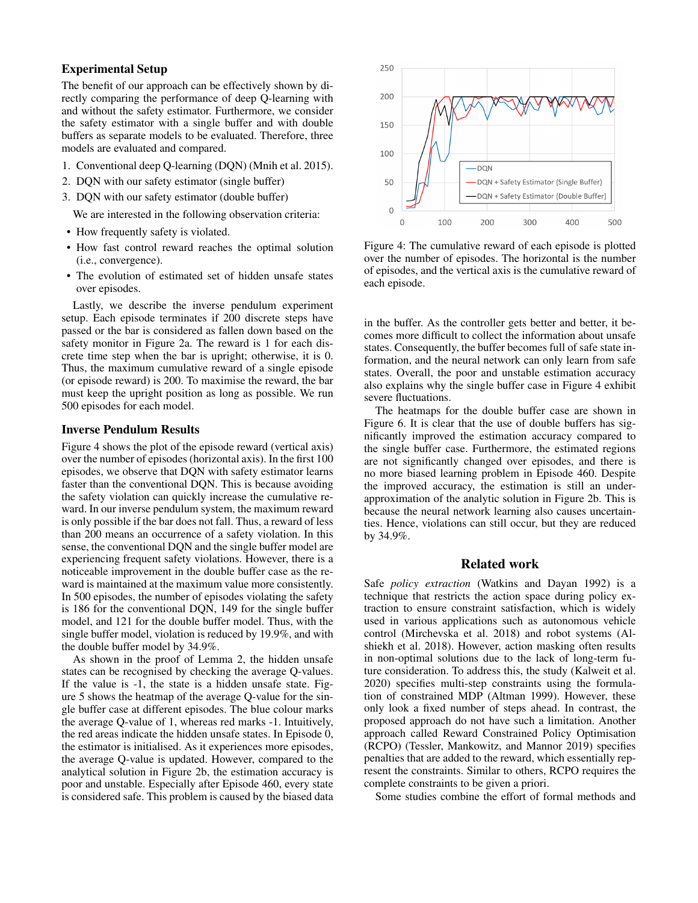# Experimental Setup

The benefit of our approach can be effectively shown by directly comparing the performance of deep Q-learning with and without the safety estimator. Furthermore, we consider the safety estimator with a single buffer and with double buffers as separate models to be evaluated. Therefore, three models are evaluated and compared.

- 1. Conventional deep Q-learning (DQN) (Mnih et al. 2015).
- 2. DQN with our safety estimator (single buffer)
- 3. DQN with our safety estimator (double buffer)

We are interested in the following observation criteria:

- How frequently safety is violated.
- How fast control reward reaches the optimal solution (i.e., convergence).
- The evolution of estimated set of hidden unsafe states over episodes.

Lastly, we describe the inverse pendulum experiment setup. Each episode terminates if 200 discrete steps have passed or the bar is considered as fallen down based on the safety monitor in Figure 2a. The reward is 1 for each discrete time step when the bar is upright; otherwise, it is 0. Thus, the maximum cumulative reward of a single episode (or episode reward) is 200. To maximise the reward, the bar must keep the upright position as long as possible. We run 500 episodes for each model.

#### Inverse Pendulum Results

Figure 4 shows the plot of the episode reward (vertical axis) over the number of episodes (horizontal axis). In the first 100 episodes, we observe that DQN with safety estimator learns faster than the conventional DQN. This is because avoiding the safety violation can quickly increase the cumulative reward. In our inverse pendulum system, the maximum reward is only possible if the bar does not fall. Thus, a reward of less than 200 means an occurrence of a safety violation. In this sense, the conventional DQN and the single buffer model are experiencing frequent safety violations. However, there is a noticeable improvement in the double buffer case as the reward is maintained at the maximum value more consistently. In 500 episodes, the number of episodes violating the safety is 186 for the conventional DQN, 149 for the single buffer model, and 121 for the double buffer model. Thus, with the single buffer model, violation is reduced by 19.9%, and with the double buffer model by 34.9%.

As shown in the proof of Lemma 2, the hidden unsafe states can be recognised by checking the average Q-values. If the value is -1, the state is a hidden unsafe state. Figure 5 shows the heatmap of the average Q-value for the single buffer case at different episodes. The blue colour marks the average Q-value of 1, whereas red marks -1. Intuitively, the red areas indicate the hidden unsafe states. In Episode 0, the estimator is initialised. As it experiences more episodes, the average Q-value is updated. However, compared to the analytical solution in Figure 2b, the estimation accuracy is poor and unstable. Especially after Episode 460, every state is considered safe. This problem is caused by the biased data



Figure 4: The cumulative reward of each episode is plotted over the number of episodes. The horizontal is the number of episodes, and the vertical axis is the cumulative reward of each episode.

in the buffer. As the controller gets better and better, it becomes more difficult to collect the information about unsafe states. Consequently, the buffer becomes full of safe state information, and the neural network can only learn from safe states. Overall, the poor and unstable estimation accuracy also explains why the single buffer case in Figure 4 exhibit severe fluctuations.

The heatmaps for the double buffer case are shown in Figure 6. It is clear that the use of double buffers has significantly improved the estimation accuracy compared to the single buffer case. Furthermore, the estimated regions are not significantly changed over episodes, and there is no more biased learning problem in Episode 460. Despite the improved accuracy, the estimation is still an underapproximation of the analytic solution in Figure 2b. This is because the neural network learning also causes uncertainties. Hence, violations can still occur, but they are reduced by 34.9%.

# Related work

Safe *policy extraction* (Watkins and Dayan 1992) is a technique that restricts the action space during policy extraction to ensure constraint satisfaction, which is widely used in various applications such as autonomous vehicle control (Mirchevska et al. 2018) and robot systems (Alshiekh et al. 2018). However, action masking often results in non-optimal solutions due to the lack of long-term future consideration. To address this, the study (Kalweit et al. 2020) specifies multi-step constraints using the formulation of constrained MDP (Altman 1999). However, these only look a fixed number of steps ahead. In contrast, the proposed approach do not have such a limitation. Another approach called Reward Constrained Policy Optimisation (RCPO) (Tessler, Mankowitz, and Mannor 2019) specifies penalties that are added to the reward, which essentially represent the constraints. Similar to others, RCPO requires the complete constraints to be given a priori.

Some studies combine the effort of formal methods and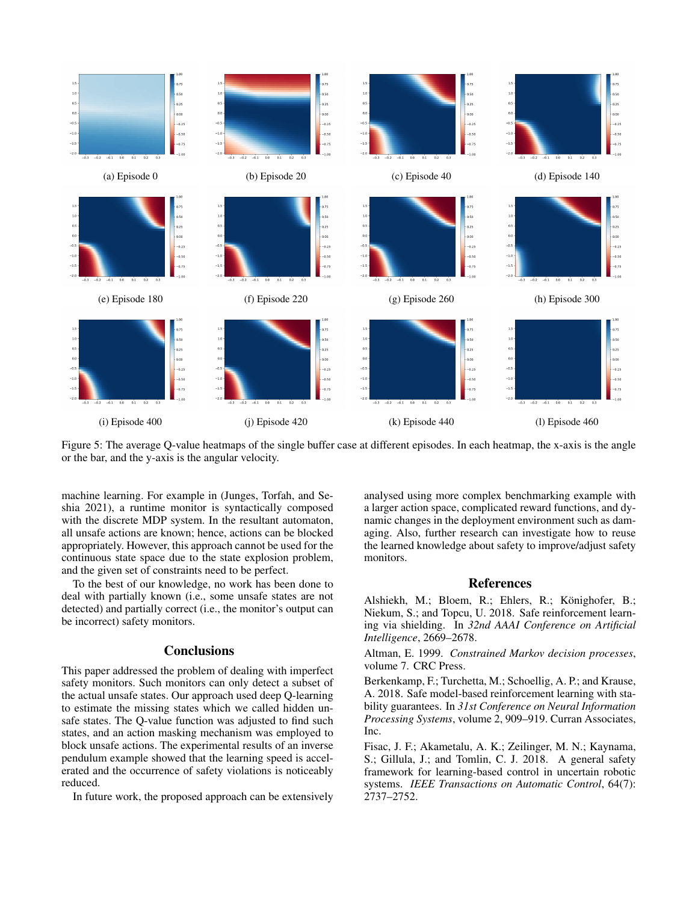

Figure 5: The average Q-value heatmaps of the single buffer case at different episodes. In each heatmap, the x-axis is the angle or the bar, and the y-axis is the angular velocity.

machine learning. For example in (Junges, Torfah, and Seshia 2021), a runtime monitor is syntactically composed with the discrete MDP system. In the resultant automaton, all unsafe actions are known; hence, actions can be blocked appropriately. However, this approach cannot be used for the continuous state space due to the state explosion problem, and the given set of constraints need to be perfect.

To the best of our knowledge, no work has been done to deal with partially known (i.e., some unsafe states are not detected) and partially correct (i.e., the monitor's output can be incorrect) safety monitors.

## **Conclusions**

This paper addressed the problem of dealing with imperfect safety monitors. Such monitors can only detect a subset of the actual unsafe states. Our approach used deep Q-learning to estimate the missing states which we called hidden unsafe states. The Q-value function was adjusted to find such states, and an action masking mechanism was employed to block unsafe actions. The experimental results of an inverse pendulum example showed that the learning speed is accelerated and the occurrence of safety violations is noticeably reduced.

In future work, the proposed approach can be extensively

analysed using more complex benchmarking example with a larger action space, complicated reward functions, and dynamic changes in the deployment environment such as damaging. Also, further research can investigate how to reuse the learned knowledge about safety to improve/adjust safety monitors.

## References

Alshiekh, M.; Bloem, R.; Ehlers, R.; Könighofer, B.; Niekum, S.; and Topcu, U. 2018. Safe reinforcement learning via shielding. In *32nd AAAI Conference on Artificial Intelligence*, 2669–2678.

Altman, E. 1999. *Constrained Markov decision processes*, volume 7. CRC Press.

Berkenkamp, F.; Turchetta, M.; Schoellig, A. P.; and Krause, A. 2018. Safe model-based reinforcement learning with stability guarantees. In *31st Conference on Neural Information Processing Systems*, volume 2, 909–919. Curran Associates, Inc.

Fisac, J. F.; Akametalu, A. K.; Zeilinger, M. N.; Kaynama, S.; Gillula, J.; and Tomlin, C. J. 2018. A general safety framework for learning-based control in uncertain robotic systems. *IEEE Transactions on Automatic Control*, 64(7): 2737–2752.